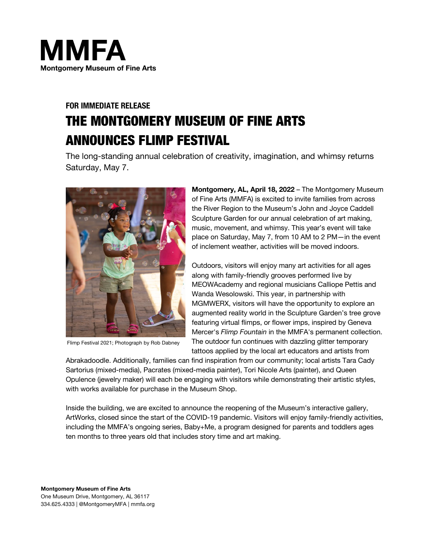

# **FOR IMMEDIATE RELEASE** THE MONTGOMERY MUSEUM OF FINE ARTS ANNOUNCES FLIMP FESTIVAL

The long-standing annual celebration of creativity, imagination, and whimsy returns Saturday, May 7.



Flimp Festival 2021; Photograph by Rob Dabney

**Montgomery, AL, April 18, 2022** – The Montgomery Museum of Fine Arts (MMFA) is excited to invite families from across the River Region to the Museum's John and Joyce Caddell Sculpture Garden for our annual celebration of art making, music, movement, and whimsy. This year's event will take place on Saturday, May 7, from 10 AM to 2 PM—in the event of inclement weather, activities will be moved indoors.

Outdoors, visitors will enjoy many art activities for all ages along with family-friendly grooves performed live by MEOWAcademy and regional musicians Calliope Pettis and Wanda Wesolowski. This year, in partnership with MGMWERX, visitors will have the opportunity to explore an augmented reality world in the Sculpture Garden's tree grove featuring virtual flimps, or flower imps, inspired by Geneva Mercer's *Flimp Fountain* in the MMFA's permanent collection. The outdoor fun continues with dazzling glitter temporary tattoos applied by the local art educators and artists from

Abrakadoodle. Additionally, families can find inspiration from our community; local artists Tara Cady Sartorius (mixed-media), Pacrates (mixed-media painter), Tori Nicole Arts (painter), and Queen Opulence (jewelry maker) will each be engaging with visitors while demonstrating their artistic styles, with works available for purchase in the Museum Shop.

Inside the building, we are excited to announce the reopening of the Museum's interactive gallery, ArtWorks, closed since the start of the COVID-19 pandemic. Visitors will enjoy family-friendly activities, including the MMFA's ongoing series, Baby+Me, a program designed for parents and toddlers ages ten months to three years old that includes story time and art making.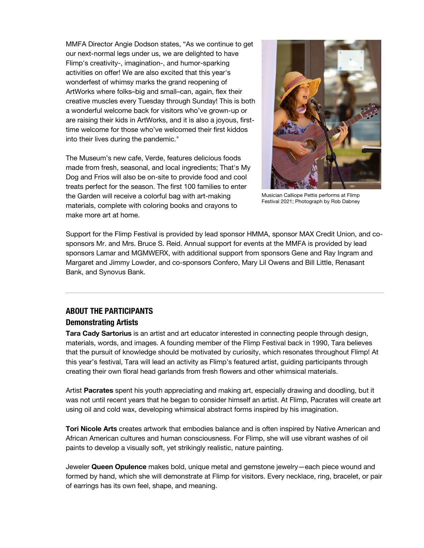MMFA Director Angie Dodson states, "As we continue to get our next-normal legs under us, we are delighted to have Flimp's creativity-, imagination-, and humor-sparking activities on offer! We are also excited that this year's wonderfest of whimsy marks the grand reopening of ArtWorks where folks–big and small–can, again, flex their creative muscles every Tuesday through Sunday! This is both a wonderful welcome back for visitors who've grown-up or are raising their kids in ArtWorks, and it is also a joyous, firsttime welcome for those who've welcomed their first kiddos into their lives during the pandemic."

The Museum's new cafe, Verde, features delicious foods made from fresh, seasonal, and local ingredients; That's My Dog and Frios will also be on-site to provide food and cool treats perfect for the season. The first 100 families to enter the Garden will receive a colorful bag with art-making materials, complete with coloring books and crayons to make more art at home.



Musician Calliope Pettis performs at Flimp Festival 2021; Photograph by Rob Dabney

Support for the Flimp Festival is provided by lead sponsor HMMA, sponsor MAX Credit Union, and cosponsors Mr. and Mrs. Bruce S. Reid. Annual support for events at the MMFA is provided by lead sponsors Lamar and MGMWERX, with additional support from sponsors Gene and Ray Ingram and Margaret and Jimmy Lowder, and co-sponsors Confero, Mary Lil Owens and Bill Little, Renasant Bank, and Synovus Bank.

# **ABOUT THE PARTICIPANTS**

### **Demonstrating Artists**

**Tara Cady Sartorius** is an artist and art educator interested in connecting people through design, materials, words, and images. A founding member of the Flimp Festival back in 1990, Tara believes that the pursuit of knowledge should be motivated by curiosity, which resonates throughout Flimp! At this year's festival, Tara will lead an activity as Flimp's featured artist, guiding participants through creating their own floral head garlands from fresh flowers and other whimsical materials.

Artist **Pacrates** spent his youth appreciating and making art, especially drawing and doodling, but it was not until recent years that he began to consider himself an artist. At Flimp, Pacrates will create art using oil and cold wax, developing whimsical abstract forms inspired by his imagination.

**Tori Nicole Arts** creates artwork that embodies balance and is often inspired by Native American and African American cultures and human consciousness. For Flimp, she will use vibrant washes of oil paints to develop a visually soft, yet strikingly realistic, nature painting.

Jeweler **Queen Opulence** makes bold, unique metal and gemstone jewelry—each piece wound and formed by hand, which she will demonstrate at Flimp for visitors. Every necklace, ring, bracelet, or pair of earrings has its own feel, shape, and meaning.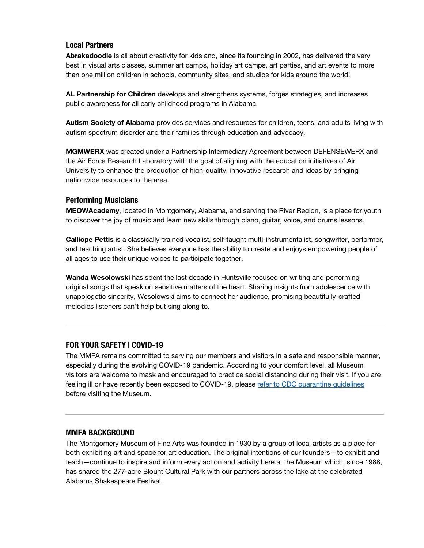# **Local Partners**

**Abrakadoodle** is all about creativity for kids and, since its founding in 2002, has delivered the very best in visual arts classes, summer art camps, holiday art camps, art parties, and art events to more than one million children in schools, community sites, and studios for kids around the world!

**AL Partnership for Children** develops and strengthens systems, forges strategies, and increases public awareness for all early childhood programs in Alabama.

**Autism Society of Alabama** provides services and resources for children, teens, and adults living with autism spectrum disorder and their families through education and advocacy.

**MGMWERX** was created under a Partnership Intermediary Agreement between DEFENSEWERX and the Air Force Research Laboratory with the goal of aligning with the education initiatives of Air University to enhance the production of high-quality, innovative research and ideas by bringing nationwide resources to the area.

#### **Performing Musicians**

**MEOWAcademy**, located in Montgomery, Alabama, and serving the River Region, is a place for youth to discover the joy of music and learn new skills through piano, guitar, voice, and drums lessons.

**Calliope Pettis** is a classically-trained vocalist, self-taught multi-instrumentalist, songwriter, performer, and teaching artist. She believes everyone has the ability to create and enjoys empowering people of all ages to use their unique voices to participate together.

**Wanda Wesolowski** has spent the last decade in Huntsville focused on writing and performing original songs that speak on sensitive matters of the heart. Sharing insights from adolescence with unapologetic sincerity, Wesolowski aims to connect her audience, promising beautifully-crafted melodies listeners can't help but sing along to.

# **FOR YOUR SAFETY | COVID-19**

The MMFA remains committed to serving our members and visitors in a safe and responsible manner, especially during the evolving COVID-19 pandemic. According to your comfort level, all Museum visitors are welcome to mask and encouraged to practice social distancing during their visit. If you are feeling ill or have recently been exposed to COVID-19, please refer to CDC quarantine quidelines before visiting the Museum.

#### **MMFA BACKGROUND**

The Montgomery Museum of Fine Arts was founded in 1930 by a group of local artists as a place for both exhibiting art and space for art education. The original intentions of our founders—to exhibit and teach—continue to inspire and inform every action and activity here at the Museum which, since 1988, has shared the 277-acre Blount Cultural Park with our partners across the lake at the celebrated Alabama Shakespeare Festival.